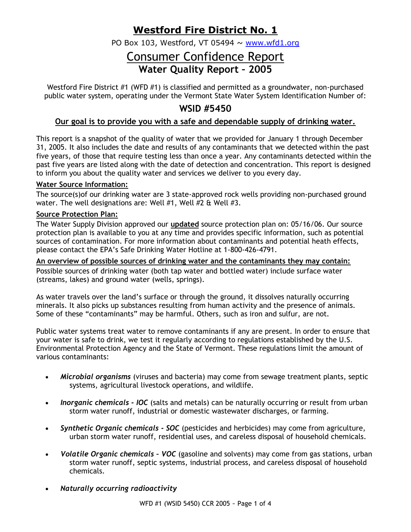# **Westford Fire District No. 1**

PO Box 103, Westford, VT 05494  $\sim$  www.wfd1.org

# Consumer Confidence Report **Water Quality Report – 2005**

Westford Fire District #1 (WFD #1) is classified and permitted as a groundwater, non-purchased public water system, operating under the Vermont State Water System Identification Number of:

# **WSID #5450**

# **Our goal is to provide you with a safe and dependable supply of drinking water.**

This report is a snapshot of the quality of water that we provided for January 1 through December 31, 2005. It also includes the date and results of any contaminants that we detected within the past five years, of those that require testing less than once a year. Any contaminants detected within the past five years are listed along with the date of detection and concentration. This report is designed to inform you about the quality water and services we deliver to you every day.

#### **Water Source Information:**

The source(s)of our drinking water are 3 state-approved rock wells providing non-purchased ground water. The well designations are: Well #1, Well #2 & Well #3.

#### **Source Protection Plan:**

The Water Supply Division approved our **updated** source protection plan on: 05/16/06. Our source protection plan is available to you at any time and provides specific information, such as potential sources of contamination. For more information about contaminants and potential heath effects, please contact the EPA's Safe Drinking Water Hotline at 1-800-426-4791.

#### **An overview of possible sources of drinking water and the contaminants they may contain:**

Possible sources of drinking water (both tap water and bottled water) include surface water (streams, lakes) and ground water (wells, springs).

As water travels over the land's surface or through the ground, it dissolves naturally occurring minerals. It also picks up substances resulting from human activity and the presence of animals. Some of these "contaminants" may be harmful. Others, such as iron and sulfur, are not.

Public water systems treat water to remove contaminants if any are present. In order to ensure that your water is safe to drink, we test it regularly according to regulations established by the U.S. Environmental Protection Agency and the State of Vermont. These regulations limit the amount of various contaminants:

- *Microbial organisms* (viruses and bacteria) may come from sewage treatment plants, septic systems, agricultural livestock operations, and wildlife.
- *Inorganic chemicals - IOC* (salts and metals) can be naturally occurring or result from urban storm water runoff, industrial or domestic wastewater discharges, or farming.
- *Synthetic Organic chemicals - SOC* (pesticides and herbicides) may come from agriculture, urban storm water runoff, residential uses, and careless disposal of household chemicals.
- *Volatile Organic chemicals – VOC* (gasoline and solvents) may come from gas stations, urban storm water runoff, septic systems, industrial process, and careless disposal of household chemicals.
- *Naturally occurring radioactivity*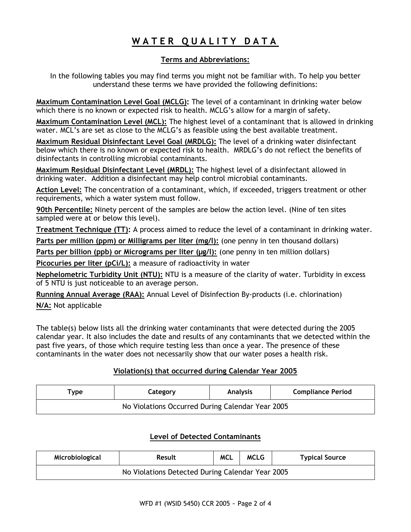# **W A T E R Q U A L I T Y D A T A**

### **Terms and Abbreviations:**

In the following tables you may find terms you might not be familiar with. To help you better understand these terms we have provided the following definitions:

**Maximum Contamination Level Goal (MCLG):** The level of a contaminant in drinking water below which there is no known or expected risk to health. MCLG's allow for a margin of safety.

**Maximum Contamination Level (MCL):** The highest level of a contaminant that is allowed in drinking water. MCL's are set as close to the MCLG's as feasible using the best available treatment.

**Maximum Residual Disinfectant Level Goal (MRDLG):** The level of a drinking water disinfectant below which there is no known or expected risk to health. MRDLG's do not reflect the benefits of disinfectants in controlling microbial contaminants.

**Maximum Residual Disinfectant Level (MRDL):** The highest level of a disinfectant allowed in drinking water. Addition a disinfectant may help control microbial contaminants.

**Action Level:** The concentration of a contaminant, which, if exceeded, triggers treatment or other requirements, which a water system must follow.

**90th Percentile:** Ninety percent of the samples are below the action level. (Nine of ten sites sampled were at or below this level).

**Treatment Technique (TT):** A process aimed to reduce the level of a contaminant in drinking water.

**Parts per million (ppm) or Milligrams per liter (mg/l):** (one penny in ten thousand dollars)

**Parts per billion (ppb) or Micrograms per liter (µg/l):** (one penny in ten million dollars)

**Picocuries per liter (pCi/L):** a measure of radioactivity in water

**Nephelometric Turbidity Unit (NTU):** NTU is a measure of the clarity of water. Turbidity in excess of 5 NTU is just noticeable to an average person.

**Running Annual Average (RAA):** Annual Level of Disinfection By-products (i.e. chlorination)

**N/A:** Not applicable

The table(s) below lists all the drinking water contaminants that were detected during the 2005 calendar year. It also includes the date and results of any contaminants that we detected within the past five years, of those which require testing less than once a year. The presence of these contaminants in the water does not necessarily show that our water poses a health risk.

## **Violation(s) that occurred during Calendar Year 2005**

| <sup>T</sup> vpe                                 | Category | <b>Analysis</b> | <b>Compliance Period</b> |  |  |  |  |
|--------------------------------------------------|----------|-----------------|--------------------------|--|--|--|--|
| No Violations Occurred During Calendar Year 2005 |          |                 |                          |  |  |  |  |

## **Level of Detected Contaminants**

| Microbiological                                  | <b>Result</b> | <b>MCL</b> | <b>MCLG</b> | <b>Typical Source</b> |  |  |  |  |
|--------------------------------------------------|---------------|------------|-------------|-----------------------|--|--|--|--|
| No Violations Detected During Calendar Year 2005 |               |            |             |                       |  |  |  |  |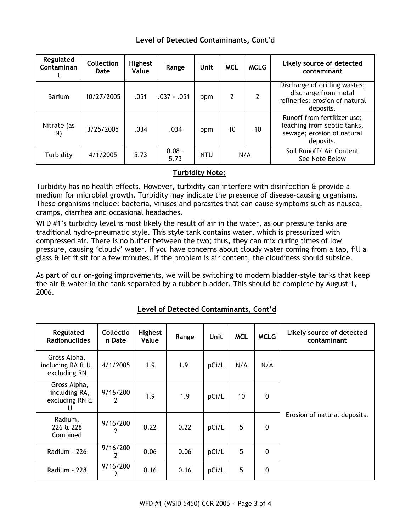| Regulated<br>Contaminan | Collection<br>Date | Highest<br>Value | Range            | Unit       | <b>MCL</b> | <b>MCLG</b> | Likely source of detected<br>contaminant                                                              |
|-------------------------|--------------------|------------------|------------------|------------|------------|-------------|-------------------------------------------------------------------------------------------------------|
| Barium                  | 10/27/2005         | .051             | $.037-.051$      | ppm        | 2          | 2           | Discharge of drilling wastes;<br>discharge from metal<br>refineries; erosion of natural<br>deposits.  |
| Nitrate (as<br>N)       | 3/25/2005          | .034             | .034             | ppm        | 10         | 10          | Runoff from fertilizer use;<br>leaching from septic tanks,<br>sewage; erosion of natural<br>deposits. |
| Turbidity               | 4/1/2005           | 5.73             | $0.08 -$<br>5.73 | <b>NTU</b> | N/A        |             | Soil Runoff/ Air Content<br>See Note Below                                                            |

#### **Turbidity Note:**

Turbidity has no health effects. However, turbidity can interfere with disinfection & provide a medium for microbial growth. Turbidity may indicate the presence of disease-causing organisms. These organisms include: bacteria, viruses and parasites that can cause symptoms such as nausea, cramps, diarrhea and occasional headaches.

WFD #1's turbidity level is most likely the result of air in the water, as our pressure tanks are traditional hydro-pneumatic style. This style tank contains water, which is pressurized with compressed air. There is no buffer between the two; thus, they can mix during times of low pressure, causing 'cloudy' water. If you have concerns about cloudy water coming from a tap, fill a glass & let it sit for a few minutes. If the problem is air content, the cloudiness should subside.

As part of our on-going improvements, we will be switching to modern bladder-style tanks that keep the air & water in the tank separated by a rubber bladder. This should be complete by August 1, 2006.

#### **Regulated Radionuclides Collectio n Date Highest Value Range Unit MCL MCLG Likely source of detected contaminant** Gross Alpha, including RA & U, excluding RN 4/1/2005 1.9 1.9 pCi/L N/A N/A Erosion of natural deposits. Gross Alpha, including RA, excluding RN &  $\mathbf{U}$ 9/16/200 2 1.9  $\vert$  1.9  $\vert$  pCi/L  $\vert$  10  $\vert$  0 Radium, 226 & 228 Combined 9/16/200 2  $0.22$  |  $0.22$  |  $pCi/L$  | 5 | 0 Radium - 226  $9/16/200$ 2  $0.06$   $0.06$   $|pCi/L|$  5 0 Radium - 228  $9/16/200$ 2  $0.16$  0.16 pCi/L 5 0

## **Level of Detected Contaminants, Cont'd**